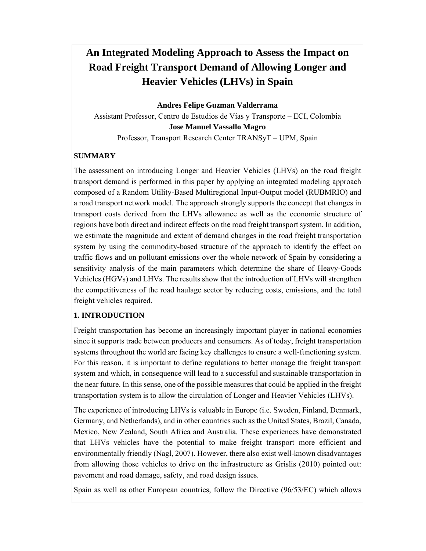# **An Integrated Modeling Approach to Assess the Impact on Road Freight Transport Demand of Allowing Longer and Heavier Vehicles (LHVs) in Spain**

**Andres Felipe Guzman Valderrama** 

Assistant Professor, Centro de Estudios de Vías y Transporte – ECI, Colombia **Jose Manuel Vassallo Magro** 

Professor, Transport Research Center TRANSyT – UPM, Spain

#### **SUMMARY**

The assessment on introducing Longer and Heavier Vehicles (LHVs) on the road freight transport demand is performed in this paper by applying an integrated modeling approach composed of a Random Utility-Based Multiregional Input-Output model (RUBMRIO) and a road transport network model. The approach strongly supports the concept that changes in transport costs derived from the LHVs allowance as well as the economic structure of regions have both direct and indirect effects on the road freight transport system. In addition, we estimate the magnitude and extent of demand changes in the road freight transportation system by using the commodity-based structure of the approach to identify the effect on traffic flows and on pollutant emissions over the whole network of Spain by considering a sensitivity analysis of the main parameters which determine the share of Heavy-Goods Vehicles (HGVs) and LHVs. The results show that the introduction of LHVs will strengthen the competitiveness of the road haulage sector by reducing costs, emissions, and the total freight vehicles required.

## **1. INTRODUCTION**

Freight transportation has become an increasingly important player in national economies since it supports trade between producers and consumers. As of today, freight transportation systems throughout the world are facing key challenges to ensure a well-functioning system. For this reason, it is important to define regulations to better manage the freight transport system and which, in consequence will lead to a successful and sustainable transportation in the near future. In this sense, one of the possible measures that could be applied in the freight transportation system is to allow the circulation of Longer and Heavier Vehicles (LHVs).

The experience of introducing LHVs is valuable in Europe (i.e. Sweden, Finland, Denmark, Germany, and Netherlands), and in other countries such as the United States, Brazil, Canada, Mexico, New Zealand, South Africa and Australia. These experiences have demonstrated that LHVs vehicles have the potential to make freight transport more efficient and environmentally friendly (Nagl, 2007). However, there also exist well-known disadvantages from allowing those vehicles to drive on the infrastructure as Grislis (2010) pointed out: pavement and road damage, safety, and road design issues.

Spain as well as other European countries, follow the Directive (96/53/EC) which allows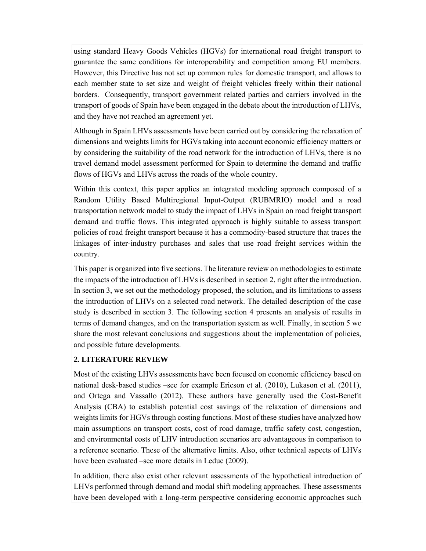using standard Heavy Goods Vehicles (HGVs) for international road freight transport to guarantee the same conditions for interoperability and competition among EU members. However, this Directive has not set up common rules for domestic transport, and allows to each member state to set size and weight of freight vehicles freely within their national borders. Consequently, transport government related parties and carriers involved in the transport of goods of Spain have been engaged in the debate about the introduction of LHVs, and they have not reached an agreement yet.

Although in Spain LHVs assessments have been carried out by considering the relaxation of dimensions and weights limits for HGVs taking into account economic efficiency matters or by considering the suitability of the road network for the introduction of LHVs, there is no travel demand model assessment performed for Spain to determine the demand and traffic flows of HGVs and LHVs across the roads of the whole country.

Within this context, this paper applies an integrated modeling approach composed of a Random Utility Based Multiregional Input-Output (RUBMRIO) model and a road transportation network model to study the impact of LHVs in Spain on road freight transport demand and traffic flows. This integrated approach is highly suitable to assess transport policies of road freight transport because it has a commodity-based structure that traces the linkages of inter-industry purchases and sales that use road freight services within the country.

This paper is organized into five sections. The literature review on methodologies to estimate the impacts of the introduction of LHVs is described in section 2, right after the introduction. In section 3, we set out the methodology proposed, the solution, and its limitations to assess the introduction of LHVs on a selected road network. The detailed description of the case study is described in section 3. The following section 4 presents an analysis of results in terms of demand changes, and on the transportation system as well. Finally, in section 5 we share the most relevant conclusions and suggestions about the implementation of policies, and possible future developments.

#### **2. LITERATURE REVIEW**

Most of the existing LHVs assessments have been focused on economic efficiency based on national desk-based studies –see for example Ericson et al. (2010), Lukason et al. (2011), and Ortega and Vassallo (2012). These authors have generally used the Cost-Benefit Analysis (CBA) to establish potential cost savings of the relaxation of dimensions and weights limits for HGVs through costing functions. Most of these studies have analyzed how main assumptions on transport costs, cost of road damage, traffic safety cost, congestion, and environmental costs of LHV introduction scenarios are advantageous in comparison to a reference scenario. These of the alternative limits. Also, other technical aspects of LHVs have been evaluated –see more details in Leduc (2009).

In addition, there also exist other relevant assessments of the hypothetical introduction of LHVs performed through demand and modal shift modeling approaches. These assessments have been developed with a long-term perspective considering economic approaches such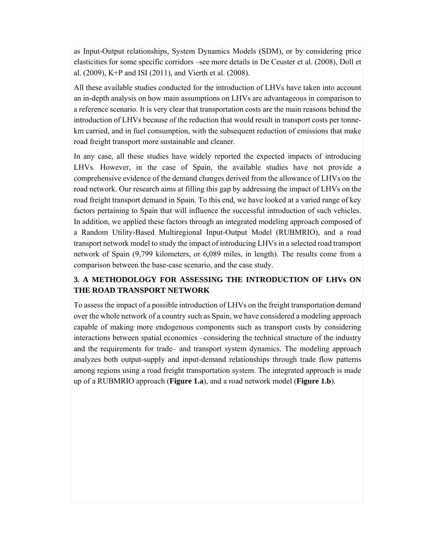as Input-Output relationships, System Dynamics Models (SDM), or by considering price elasticities for some specific corridors –see more details in De Ceuster et al. (2008), Doll et al. (2009), K+P and ISI (2011), and Vierth et al. (2008).

All these available studies conducted for the introduction of LHVs have taken into account an in-depth analysis on how main assumptions on LHVs are advantageous in comparison to a reference scenario. It is very clear that transportation costs are the main reasons behind the introduction of LHVs because of the reduction that would result in transport costs per tonnekm carried, and in fuel consumption, with the subsequent reduction of emissions that make road freight transport more sustainable and cleaner.

In any case, all these studies have widely reported the expected impacts of introducing LHVs. However, in the case of Spain, the available studies have not provide a comprehensive evidence of the demand changes derived from the allowance of LHVs on the road network. Our research aims at filling this gap by addressing the impact of LHVs on the road freight transport demand in Spain. To this end, we have looked at a varied range of key factors pertaining to Spain that will influence the successful introduction of such vehicles. In addition, we applied these factors through an integrated modeling approach composed of a Random Utility-Based Multiregional Input-Output Model (RUBMRIO), and a road transport network model to study the impact of introducing LHVs in a selected road transport network of Spain (9,799 kilometers, or 6,089 miles, in length). The results come from a comparison between the base-case scenario, and the case study.

## **3. A METHODOLOGY FOR ASSESSING THE INTRODUCTION OF LHVs ON THE ROAD TRANSPORT NETWORK**

To assess the impact of a possible introduction of LHVs on the freight transportation demand over the whole network of a country such as Spain, we have considered a modeling approach capable of making more endogenous components such as transport costs by considering interactions between spatial economics –considering the technical structure of the industry and the requirements for trade– and transport system dynamics. The modeling approach analyzes both output-supply and input-demand relationships through trade flow patterns among regions using a road freight transportation system. The integrated approach is made up of a RUBMRIO approach (**Figure 1.a**), and a road network model (**Figure 1.b**).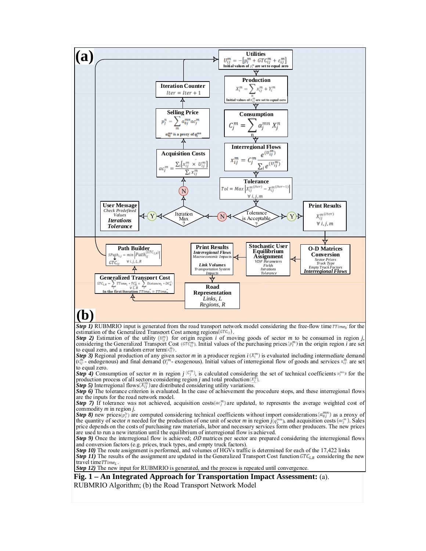

# **(b)**

*Step 1)* RUBMRIO input is generated from the road transport network model considering the free-flow time *Time*<sub>0</sub> for the estimation of the Generalized Transport Cost among regions  $(\text{GTC}_{ij})$ 

*Step 2)* Estimation of the utility  $\left(\frac{U_{ij}^{m}}{U_{ij}}\right)$  for origin region *i* of moving goods of sector *m* to be consumed in region *j* considering the Generalized Transport Cost  $(\mathcal{CTC}_{ij}^m)$ . Initial values of the purchasing prices  $(p_i^m)$  in the origin region *i* are set to equal zero, and a random error term  $(\ell_{\ell}^{m})$ .

*Step 3)* Regional production of any given sector *m* in a producer region *i* is evaluated including intermediate demand  $\langle x_i^n \rangle$  endogenous) and final demand  $(Y_i^n)$  exogenous). Initial values of interregional flow of goods and services  $x_i^n$  are set to equal zero.

**Step 4)** Consumption of sector *m* in region *j*  $\mathbb{C}^m_L$ , is calculated considering the set of technical coefficients  $\mathbb{C}^m_L$  for the production process of all sectors considering region *j* and total production  $(X_j^n)$ .

*Step 5)* Interregional flows  $(X_{ij}^m)$  are distributed considering utility variations.

*Step 6*) The tolerance criterion is evaluated. In the case of achievement the procedure stops, and these interregional flows are the inputs for the road network model.

*Step 7*) If tolerance was not achieved, acquisition costs  $ar_{\ell}^{m}$  are updated, to represents the average weighted cost of commodity *m* in region *j.*

*Step 8)* new prices  $(p_i^m)$  are computed considering technical coefficients without import considerations  $(a_{0i}^m)$  as a proxy of the quantity of sector *n* needed for the production of one unit of sector *m* in region  $j(q_i^{mn})$ , and acquisition costs  $(aq_i^{m})$ . Sales price depends on the costs of purchasing raw materials, labor and necessary services form other producers. The new prices are used to run a new iteration until the equilibrium of interregional flow is achieved.

*Step 9)* Once the interregional flow is achieved; OD matrices per sector are prepared considering the interregional flows and conversion factors (e.g. prices, truck types, and empty truck factors).

*Step 10)* The route assignment is performed, and volumes of HGVs traffic is determined for each of the 17,422 links *Step 11*) The results of the assignment are updated in the Generalized Transport Cost function  $GTC_{LR}$  considering the new travel time TTime<sub>L</sub>

*Step 12*) The new input for RUBMRIO is generated, and the process is repeated until convergence.

#### **Fig. 1 – An Integrated Approach for Transportation Impact Assessment:** (a).

RUBMRIO Algorithm; (b) the Road Transport Network Model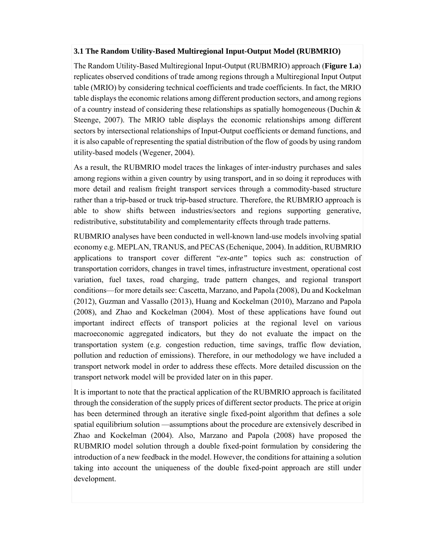#### **3.1 The Random Utility-Based Multiregional Input-Output Model (RUBMRIO)**

The Random Utility-Based Multiregional Input-Output (RUBMRIO) approach (**Figure 1.a**) replicates observed conditions of trade among regions through a Multiregional Input Output table (MRIO) by considering technical coefficients and trade coefficients. In fact, the MRIO table displays the economic relations among different production sectors, and among regions of a country instead of considering these relationships as spatially homogeneous (Duchin  $\&$ Steenge, 2007). The MRIO table displays the economic relationships among different sectors by intersectional relationships of Input-Output coefficients or demand functions, and it is also capable of representing the spatial distribution of the flow of goods by using random utility-based models (Wegener, 2004).

As a result, the RUBMRIO model traces the linkages of inter-industry purchases and sales among regions within a given country by using transport, and in so doing it reproduces with more detail and realism freight transport services through a commodity-based structure rather than a trip-based or truck trip-based structure. Therefore, the RUBMRIO approach is able to show shifts between industries/sectors and regions supporting generative, redistributive, substitutability and complementarity effects through trade patterns.

RUBMRIO analyses have been conducted in well-known land-use models involving spatial economy e.g. MEPLAN, TRANUS, and PECAS (Echenique, 2004). In addition, RUBMRIO applications to transport cover different "*ex-ante"* topics such as: construction of transportation corridors, changes in travel times, infrastructure investment, operational cost variation, fuel taxes, road charging, trade pattern changes, and regional transport conditions—for more details see: Cascetta, Marzano, and Papola (2008), Du and Kockelman (2012), Guzman and Vassallo (2013), Huang and Kockelman (2010), Marzano and Papola (2008), and Zhao and Kockelman (2004). Most of these applications have found out important indirect effects of transport policies at the regional level on various macroeconomic aggregated indicators, but they do not evaluate the impact on the transportation system (e.g. congestion reduction, time savings, traffic flow deviation, pollution and reduction of emissions). Therefore, in our methodology we have included a transport network model in order to address these effects. More detailed discussion on the transport network model will be provided later on in this paper.

It is important to note that the practical application of the RUBMRIO approach is facilitated through the consideration of the supply prices of different sector products. The price at origin has been determined through an iterative single fixed-point algorithm that defines a sole spatial equilibrium solution —assumptions about the procedure are extensively described in Zhao and Kockelman (2004). Also, Marzano and Papola (2008) have proposed the RUBMRIO model solution through a double fixed-point formulation by considering the introduction of a new feedback in the model. However, the conditions for attaining a solution taking into account the uniqueness of the double fixed-point approach are still under development.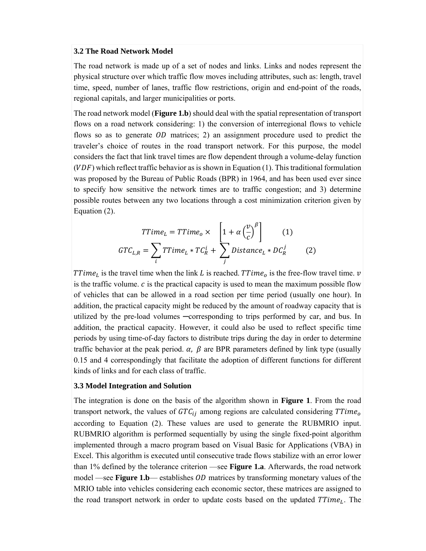#### **3.2 The Road Network Model**

The road network is made up of a set of nodes and links. Links and nodes represent the physical structure over which traffic flow moves including attributes, such as: length, travel time, speed, number of lanes, traffic flow restrictions, origin and end-point of the roads, regional capitals, and larger municipalities or ports.

The road network model (**Figure 1.b**) should deal with the spatial representation of transport flows on a road network considering: 1) the conversion of interregional flows to vehicle flows so as to generate  $OD$  matrices; 2) an assignment procedure used to predict the traveler's choice of routes in the road transport network. For this purpose, the model considers the fact that link travel times are flow dependent through a volume-delay function  $(VDF)$  which reflect traffic behavior as is shown in Equation (1). This traditional formulation was proposed by the Bureau of Public Roads (BPR) in 1964, and has been used ever since to specify how sensitive the network times are to traffic congestion; and 3) determine possible routes between any two locations through a cost minimization criterion given by Equation (2).

$$
TTime_L = TTime_0 \times \left[1 + \alpha \left(\frac{v}{c}\right)^{\beta}\right] \qquad (1)
$$

$$
GTC_{L,R} = \sum_i TTime_L * TC_R^i + \sum_j Distance_L * DC_R^j \qquad (2)
$$

TTime<sub>L</sub> is the travel time when the link L is reached. TTime<sub>o</sub> is the free-flow travel time.  $\nu$ is the traffic volume.  $c$  is the practical capacity is used to mean the maximum possible flow of vehicles that can be allowed in a road section per time period (usually one hour). In addition, the practical capacity might be reduced by the amount of roadway capacity that is utilized by the pre-load volumes ─corresponding to trips performed by car, and bus. In addition, the practical capacity. However, it could also be used to reflect specific time periods by using time-of-day factors to distribute trips during the day in order to determine traffic behavior at the peak period.  $\alpha$ ,  $\beta$  are BPR parameters defined by link type (usually 0.15 and 4 correspondingly that facilitate the adoption of different functions for different kinds of links and for each class of traffic.

#### **3.3 Model Integration and Solution**

The integration is done on the basis of the algorithm shown in **Figure 1**. From the road transport network, the values of  $GTC_{ij}$  among regions are calculated considering  $TTime<sub>o</sub>$ according to Equation (2). These values are used to generate the RUBMRIO input. RUBMRIO algorithm is performed sequentially by using the single fixed-point algorithm implemented through a macro program based on Visual Basic for Applications (VBA) in Excel. This algorithm is executed until consecutive trade flows stabilize with an error lower than 1% defined by the tolerance criterion —see **Figure 1.a**. Afterwards, the road network model —see **Figure 1.b**— establishes *OD* matrices by transforming monetary values of the MRIO table into vehicles considering each economic sector, these matrices are assigned to the road transport network in order to update costs based on the updated  $TTime<sub>L</sub>$ . The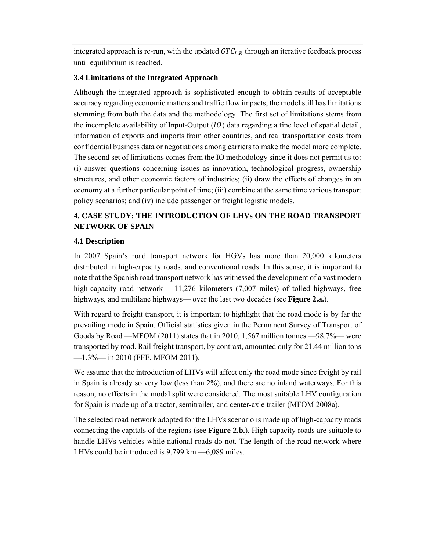integrated approach is re-run, with the updated  $GTC_{LR}$  through an iterative feedback process until equilibrium is reached.

## **3.4 Limitations of the Integrated Approach**

Although the integrated approach is sophisticated enough to obtain results of acceptable accuracy regarding economic matters and traffic flow impacts, the model still has limitations stemming from both the data and the methodology. The first set of limitations stems from the incomplete availability of Input-Output  $(10)$  data regarding a fine level of spatial detail, information of exports and imports from other countries, and real transportation costs from confidential business data or negotiations among carriers to make the model more complete. The second set of limitations comes from the IO methodology since it does not permit us to: (i) answer questions concerning issues as innovation, technological progress, ownership structures, and other economic factors of industries; (ii) draw the effects of changes in an economy at a further particular point of time; (iii) combine at the same time various transport policy scenarios; and (iv) include passenger or freight logistic models.

# **4. CASE STUDY: THE INTRODUCTION OF LHVs ON THE ROAD TRANSPORT NETWORK OF SPAIN**

### **4.1 Description**

In 2007 Spain's road transport network for HGVs has more than 20,000 kilometers distributed in high-capacity roads, and conventional roads. In this sense, it is important to note that the Spanish road transport network has witnessed the development of a vast modern high-capacity road network  $-11,276$  kilometers (7,007 miles) of tolled highways, free highways, and multilane highways— over the last two decades (see **Figure 2.a.**).

With regard to freight transport, it is important to highlight that the road mode is by far the prevailing mode in Spain. Official statistics given in the Permanent Survey of Transport of Goods by Road —MFOM (2011) states that in 2010, 1,567 million tonnes —98.7%— were transported by road. Rail freight transport, by contrast, amounted only for 21.44 million tons —1.3%— in 2010 (FFE, MFOM 2011).

We assume that the introduction of LHVs will affect only the road mode since freight by rail in Spain is already so very low (less than 2%), and there are no inland waterways. For this reason, no effects in the modal split were considered. The most suitable LHV configuration for Spain is made up of a tractor, semitrailer, and center-axle trailer (MFOM 2008a).

The selected road network adopted for the LHVs scenario is made up of high-capacity roads connecting the capitals of the regions (see **Figure 2.b.**). High capacity roads are suitable to handle LHVs vehicles while national roads do not. The length of the road network where LHVs could be introduced is 9,799 km —6,089 miles.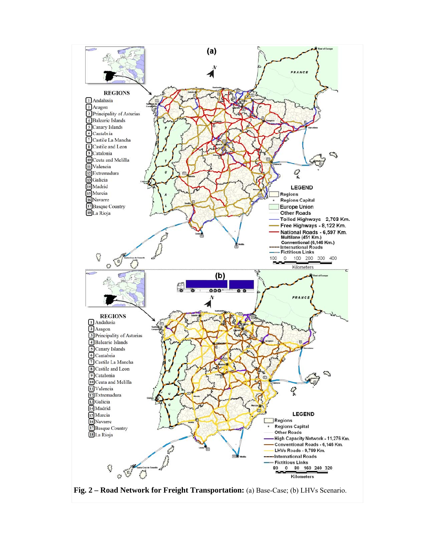

**Fig. 2 – Road Network for Freight Transportation:** (a) Base-Case; (b) LHVs Scenario.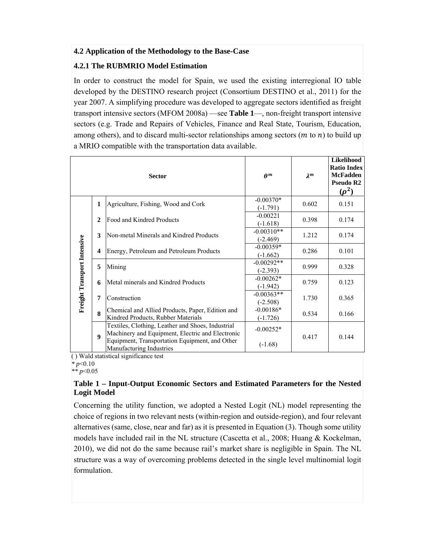#### **4.2 Application of the Methodology to the Base-Case**

### **4.2.1 The RUBMRIO Model Estimation**

In order to construct the model for Spain, we used the existing interregional IO table developed by the DESTINO research project (Consortium DESTINO et al., 2011) for the year 2007. A simplifying procedure was developed to aggregate sectors identified as freight transport intensive sectors (MFOM 2008a) —see **Table 1**—, non-freight transport intensive sectors (e.g. Trade and Repairs of Vehicles, Finance and Real State, Tourism, Education, among others), and to discard multi-sector relationships among sectors  $(m \text{ to } n)$  to build up a MRIO compatible with the transportation data available.

|                             |                         | <b>Sector</b>                                                                                                                                                                       | $\rho^m$                           | $\lambda^m$ | Likelihood<br><b>Ratio Index</b><br><b>McFadden</b><br>Pseudo R <sub>2</sub><br>$(\rho^2)$ |
|-----------------------------|-------------------------|-------------------------------------------------------------------------------------------------------------------------------------------------------------------------------------|------------------------------------|-------------|--------------------------------------------------------------------------------------------|
|                             | $\mathbf{1}$            | Agriculture, Fishing, Wood and Cork                                                                                                                                                 | $-0.00370*$<br>$(-1.791)$          | 0.602       | 0.151                                                                                      |
|                             | $\mathbf{2}$            | Food and Kindred Products                                                                                                                                                           | $-0.00221$<br>$(-1.618)$           | 0.398       | 0.174                                                                                      |
| Freight Transport Intensive | 3                       | Non-metal Minerals and Kindred Products                                                                                                                                             | $-0.00310**$<br>$(-2.469)$         | 1.212       | 0.174                                                                                      |
|                             | $\overline{\mathbf{4}}$ | Energy, Petroleum and Petroleum Products                                                                                                                                            | $-0.00359*$<br>$(-1.662)$          | 0.286       | 0.101                                                                                      |
|                             | 5                       | Mining                                                                                                                                                                              | $-0.00292**$<br>$(-2.393)$         | 0.999       | 0.328                                                                                      |
|                             | 6                       | Metal minerals and Kindred Products                                                                                                                                                 | $-0.00262*$<br>$(-1.942)$          | 0.759       | 0.123                                                                                      |
|                             | 7                       | Construction                                                                                                                                                                        | $-0.00363**$<br>$(-2.508)$         | 1.730       | 0.365                                                                                      |
|                             | 8                       | Chemical and Allied Products, Paper, Edition and<br>Kindred Products, Rubber Materials                                                                                              | $-0.00186*$<br>0.534<br>$(-1.726)$ |             | 0.166                                                                                      |
|                             | $\boldsymbol{9}$        | Textiles, Clothing, Leather and Shoes, Industrial<br>Machinery and Equipment, Electric and Electronic<br>Equipment, Transportation Equipment, and Other<br>Manufacturing Industries | $-0.00252*$<br>$(-1.68)$           | 0.417       | 0.144                                                                                      |

( ) Wald statistical significance test

*\* p*<0.10

*\*\* p*<0.05

#### **Table 1 – Input-Output Economic Sectors and Estimated Parameters for the Nested Logit Model**

Concerning the utility function, we adopted a Nested Logit (NL) model representing the choice of regions in two relevant nests (within-region and outside-region), and four relevant alternatives (same, close, near and far) as it is presented in Equation (3). Though some utility models have included rail in the NL structure (Cascetta et al., 2008; Huang  $\&$  Kockelman, 2010), we did not do the same because rail's market share is negligible in Spain. The NL structure was a way of overcoming problems detected in the single level multinomial logit formulation.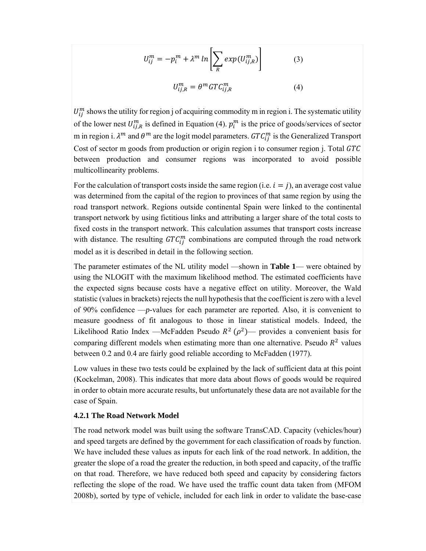$$
U_{ij}^{m} = -p_i^{m} + \lambda^{m} \ln \left[ \sum_{R} exp(U_{ij,R}^{m}) \right]
$$
 (3)  

$$
U_{ij,R}^{m} = \theta^{m} GTC_{ij,R}^{m}
$$
 (4)

 $U_{ij}^m$  shows the utility for region j of acquiring commodity m in region i. The systematic utility of the lower nest  $U_{ij,R}^m$  is defined in Equation (4).  $p_i^m$  is the price of goods/services of sector m in region i.  $\lambda^m$  and  $\theta^m$  are the logit model parameters.  $GTC_{ij}^m$  is the Generalized Transport Cost of sector m goods from production or origin region i to consumer region j. Total  $GTC$ between production and consumer regions was incorporated to avoid possible multicollinearity problems.

For the calculation of transport costs inside the same region (i.e.  $i = j$ ), an average cost value was determined from the capital of the region to provinces of that same region by using the road transport network. Regions outside continental Spain were linked to the continental transport network by using fictitious links and attributing a larger share of the total costs to fixed costs in the transport network. This calculation assumes that transport costs increase with distance. The resulting  $GTC_{ij}^{m}$  combinations are computed through the road network model as it is described in detail in the following section.

The parameter estimates of the NL utility model —shown in **Table 1**— were obtained by using the NLOGIT with the maximum likelihood method. The estimated coefficients have the expected signs because costs have a negative effect on utility. Moreover, the Wald statistic (values in brackets) rejects the null hypothesis that the coefficient is zero with a level of 90% confidence —*p*-values for each parameter are reported. Also, it is convenient to measure goodness of fit analogous to those in linear statistical models. Indeed, the Likelihood Ratio Index —McFadden Pseudo  $R^2$  ( $\rho^2$ )— provides a convenient basis for comparing different models when estimating more than one alternative. Pseudo  $R<sup>2</sup>$  values between 0.2 and 0.4 are fairly good reliable according to McFadden (1977).

Low values in these two tests could be explained by the lack of sufficient data at this point (Kockelman, 2008). This indicates that more data about flows of goods would be required in order to obtain more accurate results, but unfortunately these data are not available for the case of Spain.

#### **4.2.1 The Road Network Model**

The road network model was built using the software TransCAD. Capacity (vehicles/hour) and speed targets are defined by the government for each classification of roads by function. We have included these values as inputs for each link of the road network. In addition, the greater the slope of a road the greater the reduction, in both speed and capacity, of the traffic on that road. Therefore, we have reduced both speed and capacity by considering factors reflecting the slope of the road. We have used the traffic count data taken from (MFOM 2008b), sorted by type of vehicle, included for each link in order to validate the base-case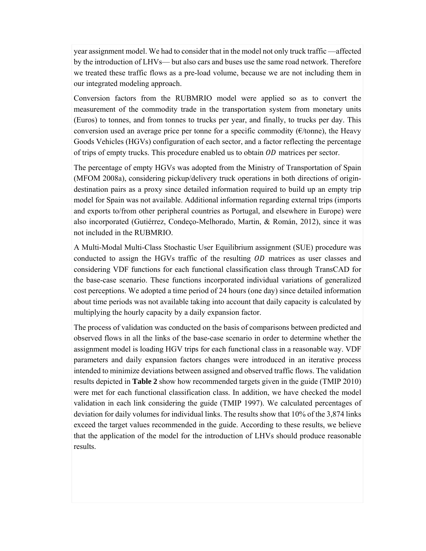year assignment model. We had to consider that in the model not only truck traffic —affected by the introduction of LHVs— but also cars and buses use the same road network. Therefore we treated these traffic flows as a pre-load volume, because we are not including them in our integrated modeling approach.

Conversion factors from the RUBMRIO model were applied so as to convert the measurement of the commodity trade in the transportation system from monetary units (Euros) to tonnes, and from tonnes to trucks per year, and finally, to trucks per day. This conversion used an average price per tonne for a specific commodity ( $\epsilon$ /tonne), the Heavy Goods Vehicles (HGVs) configuration of each sector, and a factor reflecting the percentage of trips of empty trucks. This procedure enabled us to obtain  $OD$  matrices per sector.

The percentage of empty HGVs was adopted from the Ministry of Transportation of Spain (MFOM 2008a), considering pickup/delivery truck operations in both directions of origindestination pairs as a proxy since detailed information required to build up an empty trip model for Spain was not available. Additional information regarding external trips (imports and exports to/from other peripheral countries as Portugal, and elsewhere in Europe) were also incorporated (Gutiérrez, Condeço-Melhorado, Martin, & Román, 2012), since it was not included in the RUBMRIO.

A Multi-Modal Multi-Class Stochastic User Equilibrium assignment (SUE) procedure was conducted to assign the HGVs traffic of the resulting *OD* matrices as user classes and considering VDF functions for each functional classification class through TransCAD for the base-case scenario. These functions incorporated individual variations of generalized cost perceptions. We adopted a time period of 24 hours (one day) since detailed information about time periods was not available taking into account that daily capacity is calculated by multiplying the hourly capacity by a daily expansion factor.

The process of validation was conducted on the basis of comparisons between predicted and observed flows in all the links of the base-case scenario in order to determine whether the assignment model is loading HGV trips for each functional class in a reasonable way. VDF parameters and daily expansion factors changes were introduced in an iterative process intended to minimize deviations between assigned and observed traffic flows. The validation results depicted in **Table 2** show how recommended targets given in the guide (TMIP 2010) were met for each functional classification class. In addition, we have checked the model validation in each link considering the guide (TMIP 1997). We calculated percentages of deviation for daily volumes for individual links. The results show that 10% of the 3,874 links exceed the target values recommended in the guide. According to these results, we believe that the application of the model for the introduction of LHVs should produce reasonable results.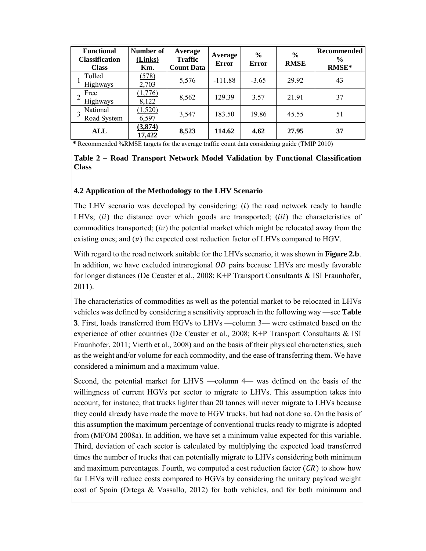| <b>Functional</b><br><b>Classification</b><br><b>Class</b> | Number of<br>(Links)<br>Km. | Average<br><b>Traffic</b><br><b>Count Data</b> | Average<br><b>Error</b> | $\frac{6}{6}$<br><b>Error</b> | $\frac{0}{0}$<br><b>RMSE</b> | <b>Recommended</b><br>$\frac{6}{9}$<br>RMSE* |
|------------------------------------------------------------|-----------------------------|------------------------------------------------|-------------------------|-------------------------------|------------------------------|----------------------------------------------|
| Tolled<br>Highways                                         | (578)<br>2,703              | 5,576                                          | $-111.88$               | $-3.65$                       | 29.92                        | 43                                           |
| Free<br>Highways                                           | (1,776)<br>8,122            | 8,562                                          | 129.39                  | 3.57                          | 21.91                        | 37                                           |
| National<br>Road System                                    | (1,520)<br>6,597            | 3,547                                          | 183.50                  | 19.86                         | 45.55                        | 51                                           |
| ALL                                                        | (3,874)<br>17,422           | 8,523                                          | 114.62                  | 4.62                          | 27.95                        | 37                                           |

**\*** Recommended %RMSE targets for the average traffic count data considering guide (TMIP 2010)

#### **Table 2 – Road Transport Network Model Validation by Functional Classification Class**

#### **4.2 Application of the Methodology to the LHV Scenario**

The LHV scenario was developed by considering:  $(i)$  the road network ready to handle LHVs;  $(ii)$  the distance over which goods are transported;  $(iii)$  the characteristics of commodities transported;  $(iv)$  the potential market which might be relocated away from the existing ones; and  $(v)$  the expected cost reduction factor of LHVs compared to HGV.

With regard to the road network suitable for the LHVs scenario, it was shown in **Figure 2.b**. In addition, we have excluded intraregional  $OD$  pairs because LHVs are mostly favorable for longer distances (De Ceuster et al., 2008; K+P Transport Consultants & ISI Fraunhofer, 2011).

The characteristics of commodities as well as the potential market to be relocated in LHVs vehicles was defined by considering a sensitivity approach in the following way —see **Table 3**. First, loads transferred from HGVs to LHVs —column 3— were estimated based on the experience of other countries (De Ceuster et al., 2008; K+P Transport Consultants & ISI Fraunhofer, 2011; Vierth et al., 2008) and on the basis of their physical characteristics, such as the weight and/or volume for each commodity, and the ease of transferring them. We have considered a minimum and a maximum value.

Second, the potential market for LHVS —column 4— was defined on the basis of the willingness of current HGVs per sector to migrate to LHVs. This assumption takes into account, for instance, that trucks lighter than 20 tonnes will never migrate to LHVs because they could already have made the move to HGV trucks, but had not done so. On the basis of this assumption the maximum percentage of conventional trucks ready to migrate is adopted from (MFOM 2008a). In addition, we have set a minimum value expected for this variable. Third, deviation of each sector is calculated by multiplying the expected load transferred times the number of trucks that can potentially migrate to LHVs considering both minimum and maximum percentages. Fourth, we computed a cost reduction factor  $(CR)$  to show how far LHVs will reduce costs compared to HGVs by considering the unitary payload weight cost of Spain (Ortega & Vassallo, 2012) for both vehicles, and for both minimum and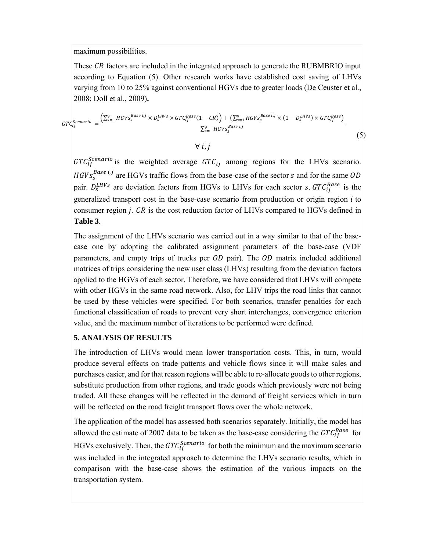maximum possibilities.

These CR factors are included in the integrated approach to generate the RUBMBRIO input according to Equation (5). Other research works have established cost saving of LHVs varying from 10 to 25% against conventional HGVs due to greater loads (De Ceuster et al., 2008; Doll et al., 2009)**.** 

$$
GTC_{ij}^{Scenario} = \frac{\left(\sum_{s=1}^{9} HGVS_s^{Base\ i,j} \times D_s^{LHVS} \times GTC_{ij}^{Base}\left(1 - CR\right)\right) + \left(\sum_{s=1}^{9} HGVS_s^{Base\ i,j} \times \left(1 - D_s^{LHVS}\right) \times GTC_{ij}^{Base}\right)}{\sum_{s=1}^{9} HGVS_s^{Base\ i,j}}
$$
\n
$$
(5)
$$

 $\forall i, j$ 

 $GTC_{ij}^{Scenario}$  is the weighted average  $GTC_{ij}$  among regions for the LHVs scenario.  $HGVs^{Base i,j}_s$  are HGVs traffic flows from the base-case of the sector s and for the same  $OD$ pair.  $D_s^{LHVs}$  are deviation factors from HGVs to LHVs for each sector s.  $GTC_{ij}^{Base}$  is the generalized transport cost in the base-case scenario from production or origin region  $i$  to consumer region  $j$ .  $CR$  is the cost reduction factor of LHVs compared to HGVs defined in **Table 3**.

The assignment of the LHVs scenario was carried out in a way similar to that of the basecase one by adopting the calibrated assignment parameters of the base-case (VDF parameters, and empty trips of trucks per  $OD$  pair). The  $OD$  matrix included additional matrices of trips considering the new user class (LHVs) resulting from the deviation factors applied to the HGVs of each sector. Therefore, we have considered that LHVs will compete with other HGVs in the same road network. Also, for LHV trips the road links that cannot be used by these vehicles were specified. For both scenarios, transfer penalties for each functional classification of roads to prevent very short interchanges, convergence criterion value, and the maximum number of iterations to be performed were defined.

#### **5. ANALYSIS OF RESULTS**

The introduction of LHVs would mean lower transportation costs. This, in turn, would produce several effects on trade patterns and vehicle flows since it will make sales and purchases easier, and for that reason regions will be able to re-allocate goods to other regions, substitute production from other regions, and trade goods which previously were not being traded. All these changes will be reflected in the demand of freight services which in turn will be reflected on the road freight transport flows over the whole network.

The application of the model has assessed both scenarios separately. Initially, the model has allowed the estimate of 2007 data to be taken as the base-case considering the  $GTC_{ij}^{Base}$  for HGVs exclusively. Then, the  $GTC_{ij}^{Scenario}$  for both the minimum and the maximum scenario was included in the integrated approach to determine the LHVs scenario results, which in comparison with the base-case shows the estimation of the various impacts on the transportation system.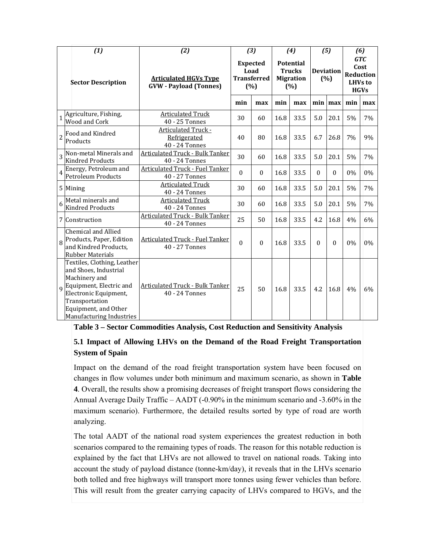|                | (1)                                                                                                                                                                                             | (2)                                                           |                                                      | $(3)$        |                                                              | (4)  |                         | (5)           |                                                           | (6) |
|----------------|-------------------------------------------------------------------------------------------------------------------------------------------------------------------------------------------------|---------------------------------------------------------------|------------------------------------------------------|--------------|--------------------------------------------------------------|------|-------------------------|---------------|-----------------------------------------------------------|-----|
|                | <b>Sector Description</b>                                                                                                                                                                       | <b>Articulated HGVs Type</b><br><b>GVW</b> - Payload (Tonnes) | <b>Expected</b><br>Load<br><b>Transferred</b><br>(%) |              | <b>Potential</b><br><b>Trucks</b><br><b>Migration</b><br>(%) |      | <b>Deviation</b><br>(%) |               | <b>GTC</b><br>Cost<br>Reduction<br>LHVs to<br><b>HGVs</b> |     |
|                |                                                                                                                                                                                                 |                                                               | min                                                  | max          | min                                                          | max  |                         | $min$   $max$ | min                                                       | max |
|                | Agriculture, Fishing,<br>Wood and Cork                                                                                                                                                          | <b>Articulated Truck</b><br>40 - 25 Tonnes                    | 30                                                   | 60           | 16.8                                                         | 33.5 | 5.0                     | 20.1          | 5%                                                        | 7%  |
| $\overline{c}$ | Food and Kindred<br>Products                                                                                                                                                                    | <b>Articulated Truck -</b><br>Refrigerated<br>40 - 24 Tonnes  | 40                                                   | 80           | 16.8                                                         | 33.5 | 6.7                     | 26.8          | 7%                                                        | 9%  |
| 3              | Non-metal Minerals and<br><b>Kindred Products</b>                                                                                                                                               | <b>Articulated Truck - Bulk Tanker</b><br>40 - 24 Tonnes      | 30                                                   | 60           | 16.8                                                         | 33.5 | 5.0                     | 20.1          | 5%                                                        | 7%  |
| 4              | Energy, Petroleum and<br><b>Petroleum Products</b>                                                                                                                                              | <b>Articulated Truck - Fuel Tanker</b><br>40 - 27 Tonnes      | $\boldsymbol{0}$                                     | $\mathbf{0}$ | 16.8                                                         | 33.5 | $\Omega$                | $\Omega$      | 0%                                                        | 0%  |
|                | 5 Mining                                                                                                                                                                                        | <b>Articulated Truck</b><br>40 - 24 Tonnes                    | 30                                                   | 60           | 16.8                                                         | 33.5 | 5.0                     | 20.1          | 5%                                                        | 7%  |
| 6              | Metal minerals and<br><b>Kindred Products</b>                                                                                                                                                   | <b>Articulated Truck</b><br>40 - 24 Tonnes                    | 30                                                   | 60           | 16.8                                                         | 33.5 | 5.0                     | 20.1          | 5%                                                        | 7%  |
|                | 7 Construction                                                                                                                                                                                  | <b>Articulated Truck - Bulk Tanker</b><br>40 - 24 Tonnes      | 25                                                   | 50           | 16.8                                                         | 33.5 | 4.2                     | 16.8          | 4%                                                        | 6%  |
| $\overline{8}$ | Chemical and Allied<br>Products, Paper, Edition<br>and Kindred Products,<br><b>Rubber Materials</b>                                                                                             | <b>Articulated Truck - Fuel Tanker</b><br>40 - 27 Tonnes      | $\mathbf{0}$                                         | $\theta$     | 16.8                                                         | 33.5 | $\Omega$                | $\theta$      | 0%                                                        | 0%  |
| q              | Textiles, Clothing, Leather<br>and Shoes, Industrial<br>Machinery and<br>Equipment, Electric and<br>Electronic Equipment,<br>Transportation<br>Equipment, and Other<br>Manufacturing Industries | <b>Articulated Truck - Bulk Tanker</b><br>40 - 24 Tonnes      | 25                                                   | 50           | 16.8                                                         | 33.5 | 4.2                     | 16.8          | 4%                                                        | 6%  |

| Table 3 – Sector Commodities Analysis, Cost Reduction and Sensitivity Analysis |  |  |  |
|--------------------------------------------------------------------------------|--|--|--|
|                                                                                |  |  |  |

## **5.1 Impact of Allowing LHVs on the Demand of the Road Freight Transportation System of Spain**

Impact on the demand of the road freight transportation system have been focused on changes in flow volumes under both minimum and maximum scenario, as shown in **Table 4**. Overall, the results show a promising decreases of freight transport flows considering the Annual Average Daily Traffic – AADT (-0.90% in the minimum scenario and -3.60% in the maximum scenario). Furthermore, the detailed results sorted by type of road are worth analyzing.

The total AADT of the national road system experiences the greatest reduction in both scenarios compared to the remaining types of roads. The reason for this notable reduction is explained by the fact that LHVs are not allowed to travel on national roads. Taking into account the study of payload distance (tonne-km/day), it reveals that in the LHVs scenario both tolled and free highways will transport more tonnes using fewer vehicles than before. This will result from the greater carrying capacity of LHVs compared to HGVs, and the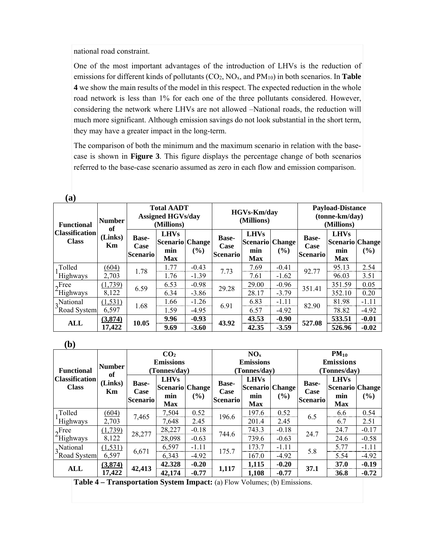national road constraint.

One of the most important advantages of the introduction of LHVs is the reduction of emissions for different kinds of pollutants (CO2, NOx, and PM10) in both scenarios. In **Table 4** we show the main results of the model in this respect. The expected reduction in the whole road network is less than 1% for each one of the three pollutants considered. However, considering the network where LHVs are not allowed –National roads, the reduction will much more significant. Although emission savings do not look substantial in the short term, they may have a greater impact in the long-term.

The comparison of both the minimum and the maximum scenario in relation with the basecase is shown in **Figure 3**. This figure displays the percentage change of both scenarios referred to the base-case scenario assumed as zero in each flow and emission comparison.

| (a)                                   |                     |                                                             |                                                            |         |                                                |                                                            |         |                                                         |                                                            |         |
|---------------------------------------|---------------------|-------------------------------------------------------------|------------------------------------------------------------|---------|------------------------------------------------|------------------------------------------------------------|---------|---------------------------------------------------------|------------------------------------------------------------|---------|
| <b>Functional</b>                     | <b>Number</b><br>of | <b>Total AADT</b><br><b>Assigned HGVs/day</b><br>(Millions) |                                                            |         | <b>HGVs-Km/day</b><br>(Millions)               |                                                            |         | <b>Payload-Distance</b><br>(tonne-km/day)<br>(Millions) |                                                            |         |
| <b>Classification</b><br><b>Class</b> | (Links)<br>Km       | <b>Base-</b><br>Case<br><b>Scenario</b>                     | <b>LHVs</b><br><b>Scenario Change</b><br>min<br><b>Max</b> | $($ %)  | <b>Base-</b><br><b>Case</b><br><b>Scenario</b> | <b>LHVs</b><br><b>Scenario</b> Change<br>min<br><b>Max</b> | $($ %)  | <b>Base-</b><br>Case<br><b>Scenario</b>                 | <b>LHVs</b><br><b>Scenario Change</b><br>min<br><b>Max</b> | $(\%)$  |
| . Tolled                              | (604)               | 1.78                                                        | 1.77                                                       | $-0.43$ |                                                | 7.69                                                       | $-0.41$ |                                                         | 95.13                                                      | 2.54    |
| Highways                              | 2,703               |                                                             | 1.76                                                       | $-1.39$ | 7.73                                           | 7.61                                                       | $-1.62$ | 92.77                                                   | 96.03                                                      | 3.51    |
| $2^{\text{Free}}$                     | (1, 739)            | 6.59                                                        | 6.53                                                       | $-0.98$ | 29.28                                          | 29.00                                                      | $-0.96$ | 351.41                                                  | 351.59                                                     | 0.05    |
| Highways                              | 8,122               |                                                             | 6.34                                                       | $-3.86$ |                                                | 28.17                                                      | $-3.79$ |                                                         | 352.10                                                     | 0.20    |
| $3^{\text{National}}_{\text{S}}$      | (1, 531)            | 1.68                                                        | 1.66                                                       | $-1.26$ | 6.91                                           | 6.83                                                       | $-1.11$ | 82.90                                                   | 81.98                                                      | $-1.11$ |
| Road System                           | 6,597               |                                                             | 1.59                                                       | $-4.95$ |                                                | 6.57                                                       | $-4.92$ |                                                         | 78.82                                                      | $-4.92$ |
|                                       | (3,874)             |                                                             | 9.96                                                       | $-0.93$ |                                                | 43.53                                                      | $-0.90$ | 527.08                                                  | 533.51                                                     | $-0.01$ |
| ALL                                   | 17,422              | 10.05                                                       | 9.69                                                       | $-3.60$ | 43.92                                          | 42.35                                                      | $-3.59$ |                                                         | 526.96                                                     | $-0.02$ |

 **(a)** 

 **(b)** 

| (V)                      |                     |                                  |                 |         |                  |                                   |               |                  |                 |         |  |
|--------------------------|---------------------|----------------------------------|-----------------|---------|------------------|-----------------------------------|---------------|------------------|-----------------|---------|--|
|                          |                     |                                  | CO <sub>2</sub> |         | NO <sub>x</sub>  |                                   |               | $PM_{10}$        |                 |         |  |
|                          | <b>Number</b><br>of | <b>Emissions</b><br>(Tonnes/day) |                 |         | <b>Emissions</b> |                                   |               | <b>Emissions</b> |                 |         |  |
| <b>Functional</b>        |                     |                                  |                 |         |                  | (Tonnes/day)                      |               | (Tonnes/day)     |                 |         |  |
| <b>Classification</b>    | (Links)             | <b>Base-</b><br>Case             | <b>LHVs</b>     | (%)     |                  | <b>LHVs</b>                       |               | <b>Base-</b>     | <b>LHVs</b>     |         |  |
| <b>Class</b>             | Km                  |                                  | Scenario Change |         | Case             | <b>Base-</b><br> Scenario  Change |               | Case             | Scenario Change |         |  |
|                          |                     | <b>Scenario</b>                  | min             |         | <b>Scenario</b>  | min                               | $\frac{6}{2}$ | <b>Scenario</b>  | min             | $(\%)$  |  |
|                          |                     |                                  | <b>Max</b>      |         |                  | <b>Max</b>                        |               |                  | <b>Max</b>      |         |  |
| Tolled                   | (604)               |                                  | 7,504           | 0.52    | 196.6            | 197.6                             | 0.52          | 6.5              | 6.6             | 0.54    |  |
| <sup>'</sup> Highways    | 2,703               | 7,465                            | 7,648           | 2.45    |                  | 201.4                             | 2.45          |                  | 6.7             | 2.51    |  |
| $2^{\text{Free}}$        | (1,739)             | 28,277                           | 28,227          | $-0.18$ | 744.6            | 743.3                             | $-0.18$       | 24.7             | 24.7            | $-0.17$ |  |
| Highways                 | 8,122               |                                  | 28,098          | $-0.63$ |                  | 739.6                             | $-0.63$       |                  | 24.6            | $-0.58$ |  |
| 3National<br>Road System | (1, 531)            | 6,671                            | 6,597           | $-1.11$ | 175.7            | 173.7                             | $-1.11$       |                  | 5.77            | $-1.11$ |  |
|                          | 6,597               |                                  | 6,343           | $-4.92$ |                  | 167.0                             | $-4.92$       | 5.8              | 5.54            | $-4.92$ |  |
|                          | (3,874)             | 42,413                           | 42.328          | $-0.20$ |                  | 1,115                             | $-0.20$       | 37.1             | 37.0            | $-0.19$ |  |
| <b>ALL</b>               | 17,422              |                                  | 42,174          | $-0.77$ | 1,117            | 1,108                             | $-0.77$       |                  | 36.8            | $-0.72$ |  |

**Table 4 – Transportation System Impact:** (a) Flow Volumes; (b) Emissions.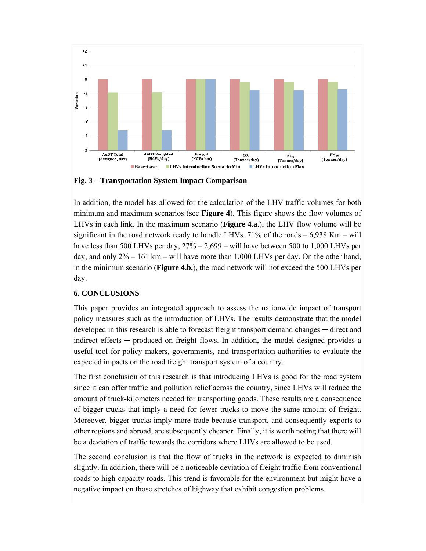

**Fig. 3 – Transportation System Impact Comparison** 

In addition, the model has allowed for the calculation of the LHV traffic volumes for both minimum and maximum scenarios (see **Figure 4**). This figure shows the flow volumes of LHVs in each link. In the maximum scenario (**Figure 4.a.**), the LHV flow volume will be significant in the road network ready to handle LHVs.  $71\%$  of the roads  $-6,938$  Km – will have less than 500 LHVs per day,  $27\% - 2{,}699 -$  will have between 500 to 1,000 LHVs per day, and only  $2\% - 161$  km – will have more than 1,000 LHVs per day. On the other hand, in the minimum scenario (**Figure 4.b.**), the road network will not exceed the 500 LHVs per day.

#### **6. CONCLUSIONS**

This paper provides an integrated approach to assess the nationwide impact of transport policy measures such as the introduction of LHVs. The results demonstrate that the model developed in this research is able to forecast freight transport demand changes — direct and indirect effects — produced on freight flows. In addition, the model designed provides a useful tool for policy makers, governments, and transportation authorities to evaluate the expected impacts on the road freight transport system of a country.

The first conclusion of this research is that introducing LHVs is good for the road system since it can offer traffic and pollution relief across the country, since LHVs will reduce the amount of truck-kilometers needed for transporting goods. These results are a consequence of bigger trucks that imply a need for fewer trucks to move the same amount of freight. Moreover, bigger trucks imply more trade because transport, and consequently exports to other regions and abroad, are subsequently cheaper. Finally, it is worth noting that there will be a deviation of traffic towards the corridors where LHVs are allowed to be used.

The second conclusion is that the flow of trucks in the network is expected to diminish slightly. In addition, there will be a noticeable deviation of freight traffic from conventional roads to high-capacity roads. This trend is favorable for the environment but might have a negative impact on those stretches of highway that exhibit congestion problems.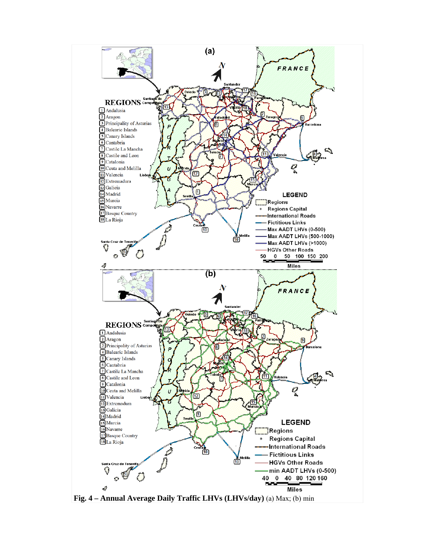

**Fig. 4 – Annual Average Daily Traffic LHVs (LHVs/day)** (a) Max; (b) min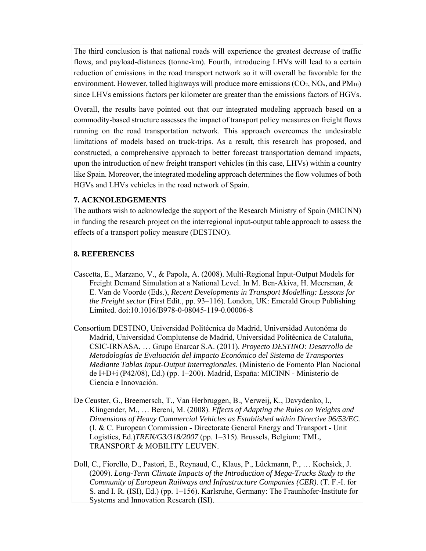The third conclusion is that national roads will experience the greatest decrease of traffic flows, and payload-distances (tonne-km). Fourth, introducing LHVs will lead to a certain reduction of emissions in the road transport network so it will overall be favorable for the environment. However, tolled highways will produce more emissions  $(CO_2, NO_x, and PM_{10})$ since LHVs emissions factors per kilometer are greater than the emissions factors of HGVs.

Overall, the results have pointed out that our integrated modeling approach based on a commodity-based structure assesses the impact of transport policy measures on freight flows running on the road transportation network. This approach overcomes the undesirable limitations of models based on truck-trips. As a result, this research has proposed, and constructed, a comprehensive approach to better forecast transportation demand impacts, upon the introduction of new freight transport vehicles (in this case, LHVs) within a country like Spain. Moreover, the integrated modeling approach determines the flow volumes of both HGVs and LHVs vehicles in the road network of Spain.

#### **7. ACKNOLEDGEMENTS**

The authors wish to acknowledge the support of the Research Ministry of Spain (MICINN) in funding the research project on the interregional input-output table approach to assess the effects of a transport policy measure (DESTINO).

#### **8. REFERENCES**

- Cascetta, E., Marzano, V., & Papola, A. (2008). Multi-Regional Input-Output Models for Freight Demand Simulation at a National Level. In M. Ben-Akiva, H. Meersman, & E. Van de Voorde (Eds.), *Recent Developments in Transport Modelling: Lessons for the Freight sector* (First Edit., pp. 93–116). London, UK: Emerald Group Publishing Limited. doi:10.1016/B978-0-08045-119-0.00006-8
- Consortium DESTINO, Universidad Politécnica de Madrid, Universidad Autonóma de Madrid, Universidad Complutense de Madrid, Universidad Politécnica de Cataluña, CSIC-IRNASA, … Grupo Enarcar S.A. (2011). *Proyecto DESTINO: Desarrollo de Metodologías de Evaluación del Impacto Económico del Sistema de Transportes Mediante Tablas Input-Output Interregionales*. (Ministerio de Fomento Plan Nacional de I+D+i (P42/08), Ed.) (pp. 1–200). Madrid, España: MICINN - Ministerio de Ciencia e Innovación.
- De Ceuster, G., Breemersch, T., Van Herbruggen, B., Verweij, K., Davydenko, I., Klingender, M., … Bereni, M. (2008). *Effects of Adapting the Rules on Weights and Dimensions of Heavy Commercial Vehicles as Established within Directive 96/53/EC.* (I. & C. European Commission - Directorate General Energy and Transport - Unit Logistics, Ed.)*TREN/G3/318/2007* (pp. 1–315). Brussels, Belgium: TML, TRANSPORT & MOBILITY LEUVEN.
- Doll, C., Fiorello, D., Pastori, E., Reynaud, C., Klaus, P., Lückmann, P., … Kochsiek, J. (2009). *Long-Term Climate Impacts of the Introduction of Mega-Trucks Study to the Community of European Railways and Infrastructure Companies (CER)*. (T. F.-I. for S. and I. R. (ISI), Ed.) (pp. 1–156). Karlsruhe, Germany: The Fraunhofer-Institute for Systems and Innovation Research (ISI).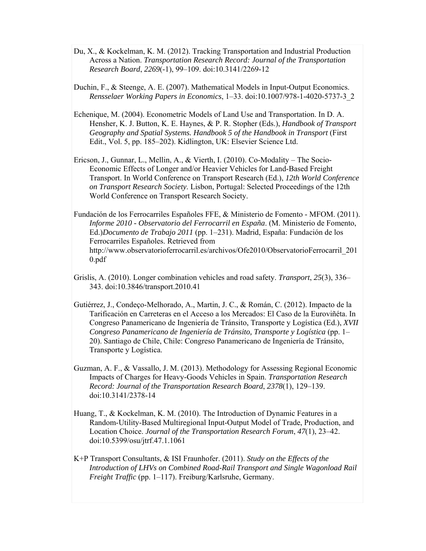- Du, X., & Kockelman, K. M. (2012). Tracking Transportation and Industrial Production Across a Nation. *Transportation Research Record: Journal of the Transportation Research Board*, *2269*(-1), 99–109. doi:10.3141/2269-12
- Duchin, F., & Steenge, A. E. (2007). Mathematical Models in Input-Output Economics. *Rensselaer Working Papers in Economics*, 1–33. doi:10.1007/978-1-4020-5737-3\_2
- Echenique, M. (2004). Econometric Models of Land Use and Transportation. In D. A. Hensher, K. J. Button, K. E. Haynes, & P. R. Stopher (Eds.), *Handbook of Transport Geography and Spatial Systems. Handbook 5 of the Handbook in Transport* (First Edit., Vol. 5, pp. 185–202). Kidlington, UK: Elsevier Science Ltd.
- Ericson, J., Gunnar, L., Mellin, A., & Vierth, I. (2010). Co-Modality The Socio-Economic Effects of Longer and/or Heavier Vehicles for Land-Based Freight Transport. In World Conference on Transport Research (Ed.), *12th World Conference on Transport Research Society*. Lisbon, Portugal: Selected Proceedings of the 12th World Conference on Transport Research Society.
- Fundación de los Ferrocarriles Españoles FFE, & Ministerio de Fomento MFOM. (2011). *Informe 2010 - Observatorio del Ferrocarril en España*. (M. Ministerio de Fomento, Ed.)*Documento de Trabajo 2011* (pp. 1–231). Madrid, España: Fundación de los Ferrocarriles Españoles. Retrieved from http://www.observatorioferrocarril.es/archivos/Ofe2010/ObservatorioFerrocarril\_201 0.pdf
- Grislis, A. (2010). Longer combination vehicles and road safety. *Transport*, *25*(3), 336– 343. doi:10.3846/transport.2010.41
- Gutiérrez, J., Condeço-Melhorado, A., Martin, J. C., & Román, C. (2012). Impacto de la Tarificación en Carreteras en el Acceso a los Mercados: El Caso de la Euroviñéta. In Congreso Panamericano de Ingeniería de Tránsito, Transporte y Logística (Ed.), *XVII Congreso Panamericano de Ingeniería de Tránsito, Transporte y Logística* (pp. 1– 20). Santiago de Chile, Chile: Congreso Panamericano de Ingeniería de Tránsito, Transporte y Logística.
- Guzman, A. F., & Vassallo, J. M. (2013). Methodology for Assessing Regional Economic Impacts of Charges for Heavy-Goods Vehicles in Spain. *Transportation Research Record: Journal of the Transportation Research Board*, *2378*(1), 129–139. doi:10.3141/2378-14
- Huang, T., & Kockelman, K. M. (2010). The Introduction of Dynamic Features in a Random-Utility-Based Multiregional Input-Output Model of Trade, Production, and Location Choice. *Journal of the Transportation Research Forum*, *47*(1), 23–42. doi:10.5399/osu/jtrf.47.1.1061
- K+P Transport Consultants, & ISI Fraunhofer. (2011). *Study on the Effects of the Introduction of LHVs on Combined Road-Rail Transport and Single Wagonload Rail Freight Traffic* (pp. 1–117). Freiburg/Karlsruhe, Germany.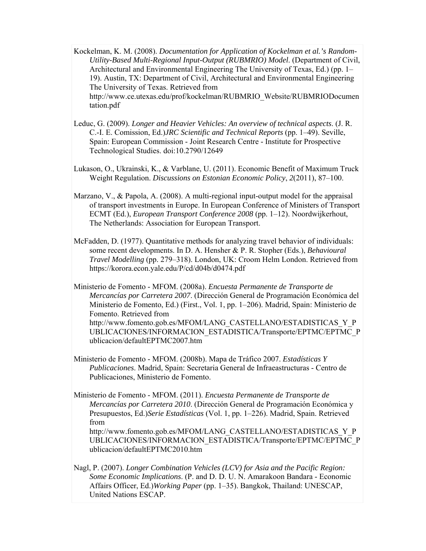- Kockelman, K. M. (2008). *Documentation for Application of Kockelman et al.'s Random-Utility-Based Multi-Regional Input-Output (RUBMRIO) Model*. (Department of Civil, Architectural and Environmental Engineering The University of Texas, Ed.) (pp. 1– 19). Austin, TX: Department of Civil, Architectural and Environmental Engineering The University of Texas. Retrieved from http://www.ce.utexas.edu/prof/kockelman/RUBMRIO\_Website/RUBMRIODocumen tation.pdf
- Leduc, G. (2009). *Longer and Heavier Vehicles: An overview of technical aspects*. (J. R. C.-I. E. Comission, Ed.)*JRC Scientific and Technical Reports* (pp. 1–49). Seville, Spain: European Commission - Joint Research Centre - Institute for Prospective Technological Studies. doi:10.2790/12649
- Lukason, O., Ukrainski, K., & Varblane, U. (2011). Economic Benefit of Maximum Truck Weight Regulation. *Discussions on Estonian Economic Policy*, *2*(2011), 87–100.
- Marzano, V., & Papola, A. (2008). A multi-regional input-output model for the appraisal of transport investments in Europe. In European Conference of Ministers of Transport ECMT (Ed.), *European Transport Conference 2008* (pp. 1–12). Noordwijkerhout, The Netherlands: Association for European Transport.
- McFadden, D. (1977). Quantitative methods for analyzing travel behavior of individuals: some recent developments. In D. A. Hensher & P. R. Stopher (Eds.), *Behavioural Travel Modelling* (pp. 279–318). London, UK: Croom Helm London. Retrieved from https://korora.econ.yale.edu/P/cd/d04b/d0474.pdf
- Ministerio de Fomento MFOM. (2008a). *Encuesta Permanente de Transporte de Mercancías por Carretera 2007*. (Dirección General de Programación Económica del Ministerio de Fomento, Ed.) (First., Vol. 1, pp. 1–206). Madrid, Spain: Ministerio de Fomento. Retrieved from http://www.fomento.gob.es/MFOM/LANG\_CASTELLANO/ESTADISTICAS\_Y\_P\_ UBLICACIONES/INFORMACION\_ESTADISTICA/Transporte/EPTMC/EPTMC\_P ublicacion/defaultEPTMC2007.htm
- Ministerio de Fomento MFOM. (2008b). Mapa de Tráfico 2007. *Estadísticas Y Publicaciones*. Madrid, Spain: Secretaria General de Infraeastructuras - Centro de Publicaciones, Ministerio de Fomento.
- Ministerio de Fomento MFOM. (2011). *Encuesta Permanente de Transporte de Mercancías por Carretera 2010*. (Dirección General de Programación Económica y Presupuestos, Ed.)*Serie Estadísticas* (Vol. 1, pp. 1–226). Madrid, Spain. Retrieved from

http://www.fomento.gob.es/MFOM/LANG\_CASTELLANO/ESTADISTICAS\_Y\_P UBLICACIONES/INFORMACION\_ESTADISTICA/Transporte/EPTMC/EPTMC\_P ublicacion/defaultEPTMC2010.htm

Nagl, P. (2007). *Longer Combination Vehicles (LCV) for Asia and the Pacific Region: Some Economic Implications*. (P. and D. D. U. N. Amarakoon Bandara - Economic Affairs Officer, Ed.)*Working Paper* (pp. 1–35). Bangkok, Thailand: UNESCAP, United Nations ESCAP.